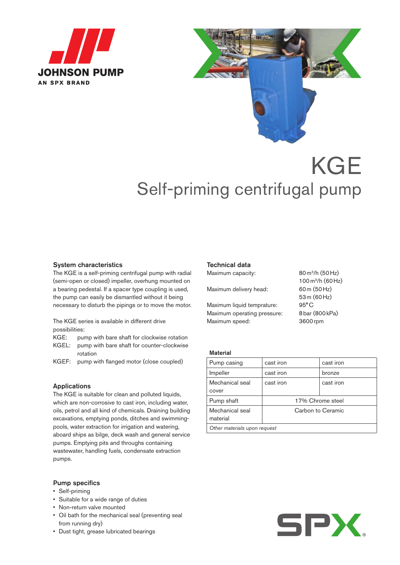



# KGE Self-priming centrifugal pump

#### System characteristics

The KGE is a self-priming centrifugal pump with radial (semi-open or closed) impeller, overhung mounted on a bearing pedestal. If a spacer type coupling is used, the pump can easily be dismantled without it being necessary to disturb the pipings or to move the motor.

The KGE series is available in different drive possibilities:

- KGE: pump with bare shaft for clockwise rotation
- KGEL: pump with bare shaft for counter-clockwise rotation
- KGEF: pump with flanged motor (close coupled)

#### Applications

The KGE is suitable for clean and polluted liquids, which are non-corrosive to cast iron, including water, oils, petrol and all kind of chemicals. Draining building excavations, emptying ponds, ditches and swimmingpools, water extraction for irrigation and watering, aboard ships as bilge, deck wash and general service pumps. Emptying pits and throughs containing wastewater, handling fuels, condensate extraction pumps.

#### Pump specifics

- • Self-priming
- • Suitable for a wide range of duties
- • Non-return valve mounted
- • Oil bath for the mechanical seal (preventing seal from running dry)
- • Dust tight, grease lubricated bearings

#### Technical data

Maximum capacity: 80 m<sup>3</sup>/h (50 Hz)

Maximum delivery head: 60m (50Hz)

Maximum liquid temprature: 95°C Maximum operating pressure: 8bar (800 kPa) Maximum speed: 3600rpm

100m3/h (60Hz) 53m (60Hz)

#### **Material**

| Pump casing                  | cast iron        | cast iron         |  |  |  |  |  |  |  |  |
|------------------------------|------------------|-------------------|--|--|--|--|--|--|--|--|
| Impeller                     | cast iron        | bronze            |  |  |  |  |  |  |  |  |
| Mechanical seal              | cast iron        | cast iron         |  |  |  |  |  |  |  |  |
| cover                        |                  |                   |  |  |  |  |  |  |  |  |
| Pump shaft                   | 17% Chrome steel |                   |  |  |  |  |  |  |  |  |
| Mechanical seal<br>material  |                  | Carbon to Ceramic |  |  |  |  |  |  |  |  |
| Other materials upon request |                  |                   |  |  |  |  |  |  |  |  |
|                              |                  |                   |  |  |  |  |  |  |  |  |